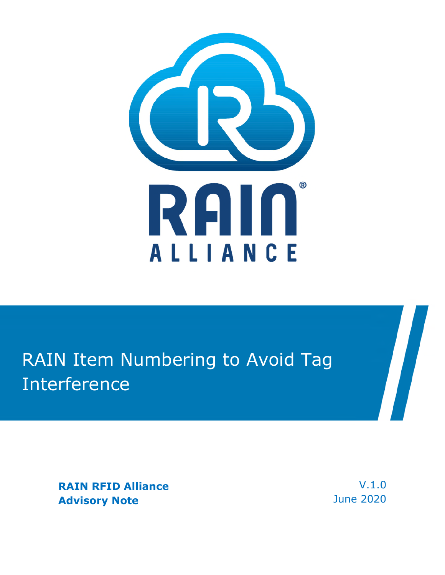

# RAIN Item Numbering to Avoid Tag Interference

**RAIN RFID Alliance Advisory Note** 

V.1.0 June 2020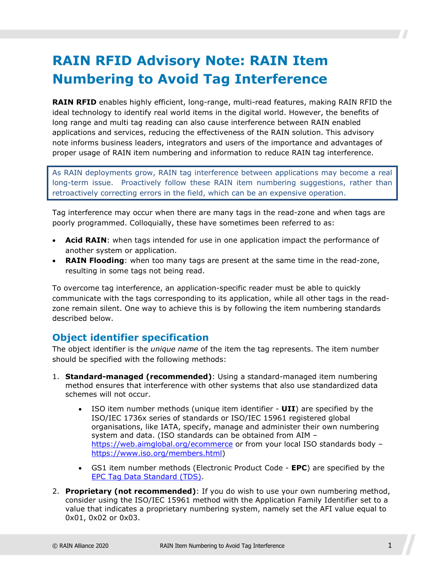## **RAIN RFID Advisory Note: RAIN Item Numbering to Avoid Tag Interference**

**RAIN RFID** enables highly efficient, long-range, multi-read features, making RAIN RFID the ideal technology to identify real world items in the digital world. However, the benefits of long range and multi tag reading can also cause interference between RAIN enabled applications and services, reducing the effectiveness of the RAIN solution. This advisory note informs business leaders, integrators and users of the importance and advantages of proper usage of RAIN item numbering and information to reduce RAIN tag interference.

As RAIN deployments grow, RAIN tag interference between applications may become a real long-term issue. Proactively follow these RAIN item numbering suggestions, rather than retroactively correcting errors in the field, which can be an expensive operation.

Tag interference may occur when there are many tags in the read-zone and when tags are poorly programmed. Colloquially, these have sometimes been referred to as:

- **Acid RAIN**: when tags intended for use in one application impact the performance of another system or application.
- **RAIN Flooding**: when too many tags are present at the same time in the read-zone, resulting in some tags not being read.

To overcome tag interference, an application-specific reader must be able to quickly communicate with the tags corresponding to its application, while all other tags in the readzone remain silent. One way to achieve this is by following the item numbering standards described below.

#### **Object identifier specification**

The object identifier is the *unique name* of the item the tag represents. The item number should be specified with the following methods:

- 1. **Standard-managed (recommended)**: Using a standard-managed item numbering method ensures that interference with other systems that also use standardized data schemes will not occur.
	- ISO item number methods (unique item identifier **UII**) are specified by the ISO/IEC 1736x series of standards or ISO/IEC 15961 registered global organisations, like IATA, specify, manage and administer their own numbering system and data. (ISO standards can be obtained from AIM – <https://web.aimglobal.org/ecommerce> or from your local ISO standards body – [https://www.iso.org/members.html\)](https://www.iso.org/members.html)
	- GS1 item number methods (Electronic Product Code **EPC**) are specified by the [EPC Tag Data Standard \(TDS\)](https://www.gs1.org/standards/epc-rfid/tds).
- 2. **Proprietary (not recommended)**: If you do wish to use your own numbering method, consider using the ISO/IEC 15961 method with the Application Family Identifier set to a value that indicates a proprietary numbering system, namely set the AFI value equal to 0x01, 0x02 or 0x03.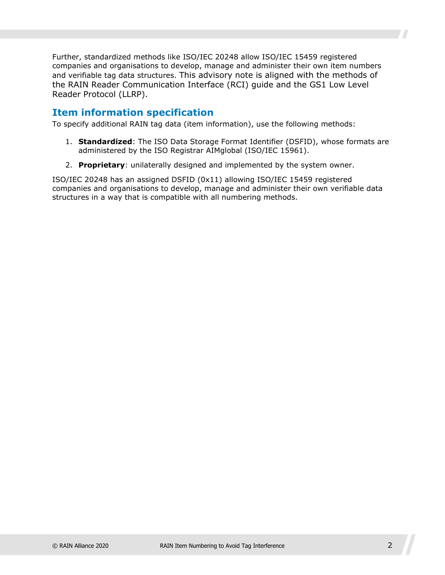Further, standardized methods like ISO/IEC 20248 allow ISO/IEC 15459 registered companies and organisations to develop, manage and administer their own item numbers and verifiable tag data structures. This advisory note is aligned with the methods of the RAIN Reader Communication Interface (RCI) guide and the GS1 Low Level Reader Protocol (LLRP).

#### **Item information specification**

To specify additional RAIN tag data (item information), use the following methods:

- 1. **Standardized**: The ISO Data Storage Format Identifier (DSFID), whose formats are administered by the ISO Registrar AIMglobal (ISO/IEC 15961).
- 2. **Proprietary**: unilaterally designed and implemented by the system owner.

ISO/IEC 20248 has an assigned DSFID (0x11) allowing ISO/IEC 15459 registered companies and organisations to develop, manage and administer their own verifiable data structures in a way that is compatible with all numbering methods.